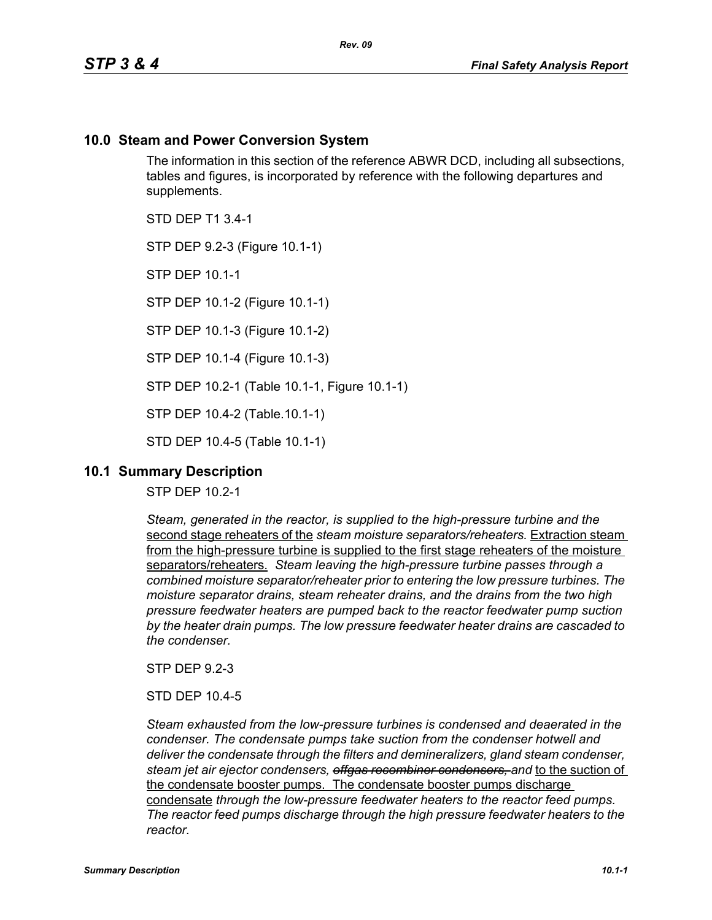# **10.0 Steam and Power Conversion System**

The information in this section of the reference ABWR DCD, including all subsections, tables and figures, is incorporated by reference with the following departures and supplements.

STD DEP T1 3.4-1

STP DEP 9.2-3 (Figure 10.1-1)

STP DEP 10.1-1

STP DEP 10.1-2 (Figure 10.1-1)

STP DEP 10.1-3 (Figure 10.1-2)

STP DEP 10.1-4 (Figure 10.1-3)

STP DEP 10.2-1 (Table 10.1-1, Figure 10.1-1)

STP DEP 10.4-2 (Table.10.1-1)

STD DEP 10.4-5 (Table 10.1-1)

## **10.1 Summary Description**

STP DEP 10.2-1

*Steam, generated in the reactor, is supplied to the high-pressure turbine and the*  second stage reheaters of the *steam moisture separators/reheaters.* Extraction steam from the high-pressure turbine is supplied to the first stage reheaters of the moisture separators/reheaters. *Steam leaving the high-pressure turbine passes through a combined moisture separator/reheater prior to entering the low pressure turbines. The moisture separator drains, steam reheater drains, and the drains from the two high pressure feedwater heaters are pumped back to the reactor feedwater pump suction by the heater drain pumps. The low pressure feedwater heater drains are cascaded to the condenser.*

STP DEP 9.2-3

STD DEP 10.4-5

*Steam exhausted from the low-pressure turbines is condensed and deaerated in the condenser. The condensate pumps take suction from the condenser hotwell and deliver the condensate through the filters and demineralizers, gland steam condenser, steam jet air ejector condensers, offgas recombiner condensers, and* to the suction of the condensate booster pumps. The condensate booster pumps discharge condensate *through the low-pressure feedwater heaters to the reactor feed pumps. The reactor feed pumps discharge through the high pressure feedwater heaters to the reactor.*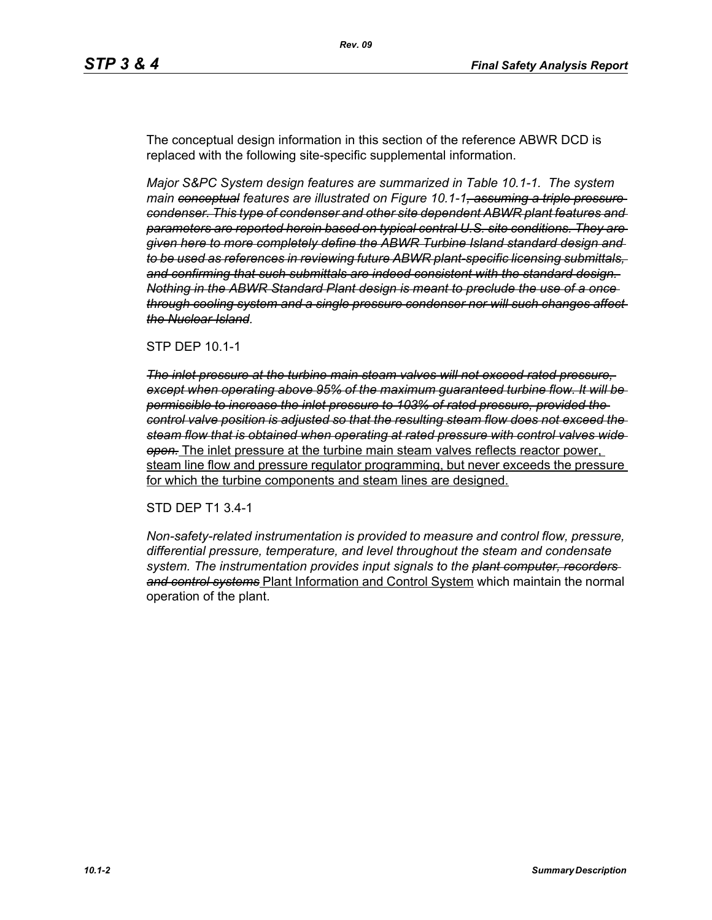The conceptual design information in this section of the reference ABWR DCD is replaced with the following site-specific supplemental information.

*Major S&PC System design features are summarized in Table 10.1-1. The system main conceptual features are illustrated on Figure 10.1-1, assuming a triple pressure condenser. This type of condenser and other site dependent ABWR plant features and parameters are reported herein based on typical central U.S. site conditions. They are given here to more completely define the ABWR Turbine Island standard design and to be used as references in reviewing future ABWR plant-specific licensing submittals, and confirming that such submittals are indeed consistent with the standard design. Nothing in the ABWR Standard Plant design is meant to preclude the use of a once through cooling system and a single pressure condenser nor will such changes affect the Nuclear Island.*

#### STP DEP 10.1-1

*The inlet pressure at the turbine main steam valves will not exceed rated pressure, except when operating above 95% of the maximum guaranteed turbine flow. It will be permissible to increase the inlet pressure to 103% of rated pressure, provided the control valve position is adjusted so that the resulting steam flow does not exceed the steam flow that is obtained when operating at rated pressure with control valves wide open.* The inlet pressure at the turbine main steam valves reflects reactor power, steam line flow and pressure regulator programming, but never exceeds the pressure for which the turbine components and steam lines are designed.

#### STD DEP T1 3.4-1

*Non-safety-related instrumentation is provided to measure and control flow, pressure, differential pressure, temperature, and level throughout the steam and condensate system. The instrumentation provides input signals to the plant computer, recorders and control systems* Plant Information and Control System which maintain the normal operation of the plant.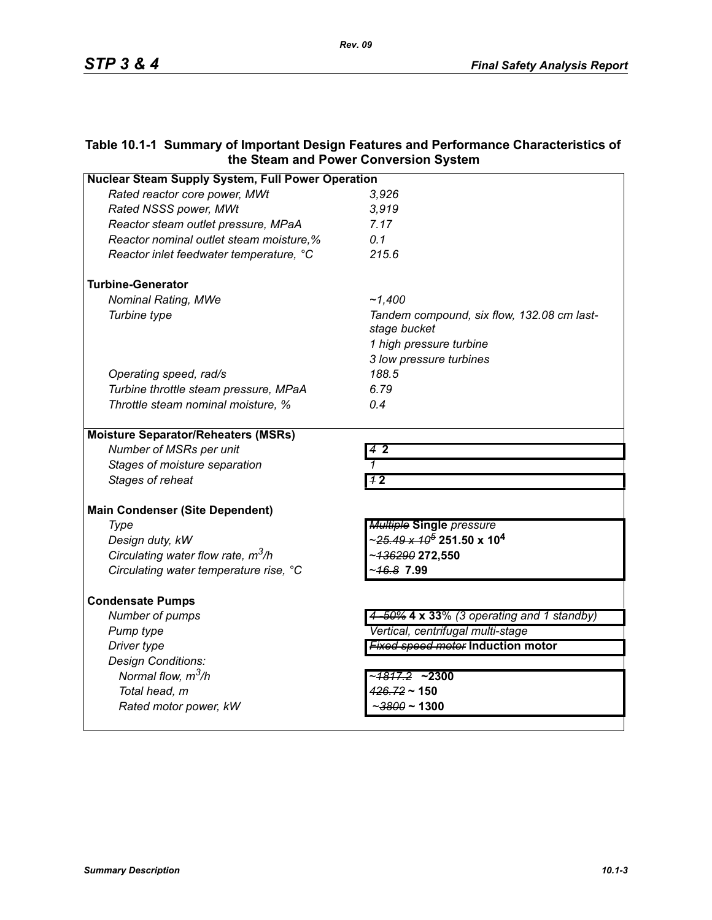# **Table 10.1-1 Summary of Important Design Features and Performance Characteristics of the Steam and Power Conversion System**

| <b>Nuclear Steam Supply System, Full Power Operation</b> |                                                              |  |
|----------------------------------------------------------|--------------------------------------------------------------|--|
| Rated reactor core power, MWt                            | 3,926                                                        |  |
| Rated NSSS power, MWt                                    | 3,919                                                        |  |
| Reactor steam outlet pressure, MPaA                      | 7.17                                                         |  |
| Reactor nominal outlet steam moisture,%                  | 0.1                                                          |  |
| Reactor inlet feedwater temperature, °C                  | 215.6                                                        |  |
| <b>Turbine-Generator</b>                                 |                                                              |  |
| <b>Nominal Rating, MWe</b>                               | ~1,400                                                       |  |
| Turbine type                                             | Tandem compound, six flow, 132.08 cm last-<br>stage bucket   |  |
|                                                          | 1 high pressure turbine                                      |  |
|                                                          | 3 low pressure turbines                                      |  |
| Operating speed, rad/s                                   | 188.5                                                        |  |
| Turbine throttle steam pressure, MPaA                    | 6.79                                                         |  |
| Throttle steam nominal moisture, %                       | 0.4                                                          |  |
| <b>Moisture Separator/Reheaters (MSRs)</b>               |                                                              |  |
| Number of MSRs per unit                                  | $4\,$ 2                                                      |  |
| Stages of moisture separation                            |                                                              |  |
| Stages of reheat                                         | 72                                                           |  |
| <b>Main Condenser (Site Dependent)</b>                   |                                                              |  |
| Type                                                     | <b>Multiple Single pressure</b>                              |  |
| Design duty, kW                                          | ~ <del>25.49 x 10<sup>5</sup></del> 251.50 x 10 <sup>4</sup> |  |
| Circulating water flow rate, $m^3/h$                     | ~ <del>136290</del> 272,550                                  |  |
| Circulating water temperature rise, °C                   | ~46.8 7.99                                                   |  |
| <b>Condensate Pumps</b>                                  |                                                              |  |
| Number of pumps                                          | 4-50% 4 x 33% (3 operating and 1 standby)                    |  |
| Pump type                                                | Vertical, centrifugal multi-stage                            |  |
| Driver type                                              | <b>Fixed speed motor Induction motor</b>                     |  |
| Design Conditions:                                       |                                                              |  |
| Normal flow, m <sup>3</sup> /h                           | ~ <del>1817.2</del> ~2300                                    |  |
| Total head, m                                            | $426.72 \sim 150$                                            |  |
| Rated motor power, kW                                    | $\sim$ 3800 ~ 1300                                           |  |
|                                                          |                                                              |  |

*Rev. 09*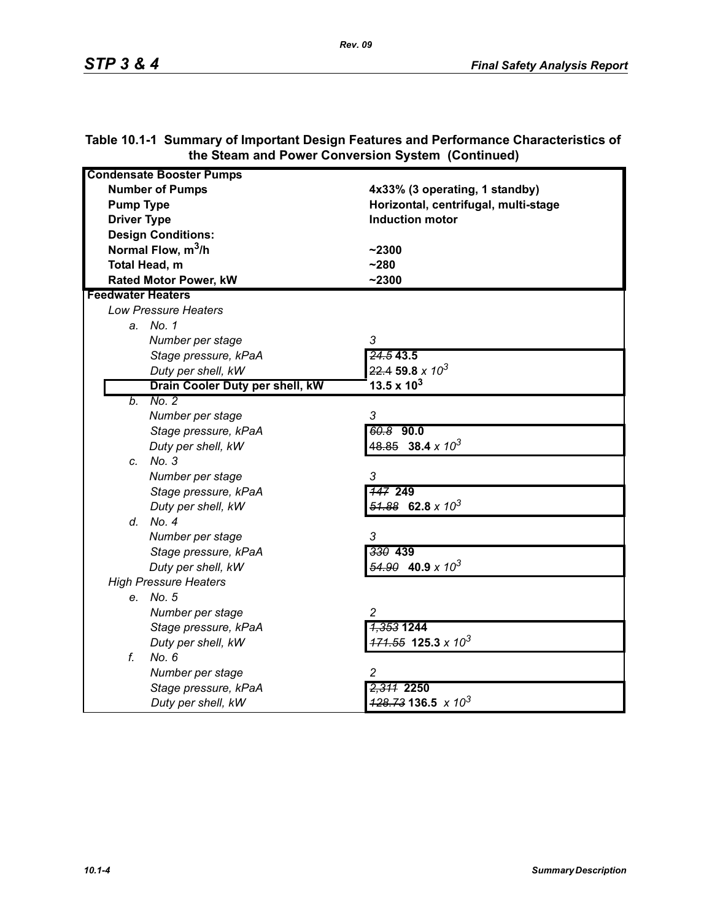| <b>Condensate Booster Pumps</b> |                                          |
|---------------------------------|------------------------------------------|
| <b>Number of Pumps</b>          | 4x33% (3 operating, 1 standby)           |
| <b>Pump Type</b>                | Horizontal, centrifugal, multi-stage     |
| <b>Driver Type</b>              | <b>Induction motor</b>                   |
| <b>Design Conditions:</b>       |                                          |
| Normal Flow, m <sup>3</sup> /h  |                                          |
|                                 | $-2300$                                  |
| Total Head, m                   | $-280$                                   |
| <b>Rated Motor Power, kW</b>    | $-2300$                                  |
| <b>Feedwater Heaters</b>        |                                          |
| <b>Low Pressure Heaters</b>     |                                          |
| a. No. 1                        |                                          |
| Number per stage                | 3                                        |
| Stage pressure, kPaA            | 24.543.5                                 |
| Duty per shell, kW              | $22.4$ 59.8 x $10^3$                     |
| Drain Cooler Duty per shell, kW | 13.5 x $10^3$                            |
| No. 2<br>b.                     |                                          |
| Number per stage                | 3                                        |
| Stage pressure, kPaA            | $60.8$ 90.0                              |
| Duty per shell, kW              | $48.85$ 38.4 x 10 <sup>3</sup>           |
| c. No. 3                        |                                          |
| Number per stage                | 3                                        |
| Stage pressure, kPaA            | <b>147 249</b>                           |
| Duty per shell, kW              | $\frac{51.88}{2}$ 62.8 x 10 <sup>3</sup> |
| d. No. 4                        |                                          |
| Number per stage                | 3                                        |
| Stage pressure, kPaA            | 330 439                                  |
| Duty per shell, kW              | $\frac{54.90}{2}$ 40.9 x 10 <sup>3</sup> |
| <b>High Pressure Heaters</b>    |                                          |
| e. No. 5                        |                                          |
| Number per stage                | $\overline{c}$                           |
| Stage pressure, kPaA            | <del>1,353</del> 1244                    |
| Duty per shell, kW              | $171.55$ 125.3 x 10 <sup>3</sup>         |
| f.<br>No. 6                     |                                          |
| Number per stage                | 2                                        |
| Stage pressure, kPaA            | 2,311 2250                               |
| Duty per shell, kW              | $\frac{428.73}{136.5}$ x 10 <sup>3</sup> |

## **Table 10.1-1 Summary of Important Design Features and Performance Characteristics of the Steam and Power Conversion System (Continued)**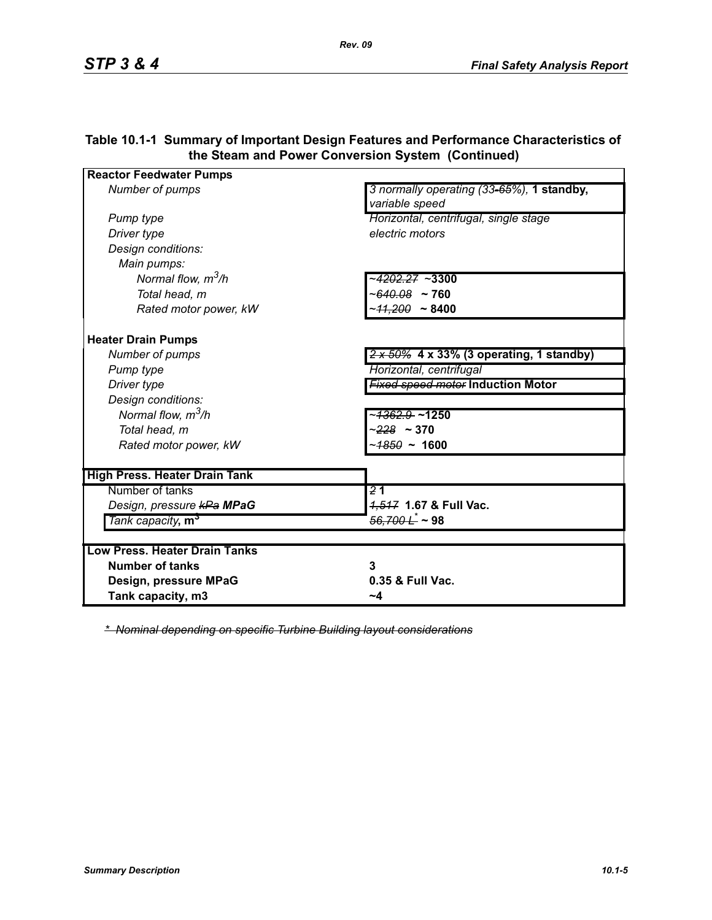| <b>Reactor Feedwater Pumps</b>       |                                                             |
|--------------------------------------|-------------------------------------------------------------|
| Number of pumps                      | 3 normally operating (33-65%), 1 standby,<br>variable speed |
| Pump type                            | Horizontal, centrifugal, single stage                       |
| Driver type                          | electric motors                                             |
| Design conditions:                   |                                                             |
| Main pumps:                          |                                                             |
| Normal flow, $m^3/h$                 | <del>1202.27</del> ~3300~                                   |
| Total head, m                        | $~100.08$ ~ 760                                             |
| Rated motor power, kW                | ~ <del>11,200</del> ~ 8400                                  |
| <b>Heater Drain Pumps</b>            |                                                             |
| Number of pumps                      | $2 \times 50\%$ 4 x 33% (3 operating, 1 standby)            |
| Pump type                            | Horizontal, centrifugal                                     |
| Driver type                          | <b>Fixed speed motor Induction Motor</b>                    |
| Design conditions:                   |                                                             |
| Normal flow, $m^3/h$                 | ~ <del>1362.9</del> ~1250                                   |
| Total head, m                        | $-228 - 370$                                                |
| Rated motor power, kW                | ~ <del>1850</del> ~ 1600                                    |
| <b>High Press. Heater Drain Tank</b> |                                                             |
| Number of tanks                      | $\overline{21}$                                             |
| Design, pressure kPa MPaG            | 4,547 1.67 & Full Vac.                                      |
| Tank capacity, m <sup>3</sup>        | $\frac{56,700 \hat{L}}{2}$ ~ 98                             |
|                                      |                                                             |
| <b>Low Press, Heater Drain Tanks</b> |                                                             |
| <b>Number of tanks</b>               | 3                                                           |
| Design, pressure MPaG                | 0.35 & Full Vac.                                            |
| Tank capacity, m3                    | ~4                                                          |

### **Table 10.1-1 Summary of Important Design Features and Performance Characteristics of the Steam and Power Conversion System (Continued)**

*\* Nominal depending on specific Turbine Building layout considerations*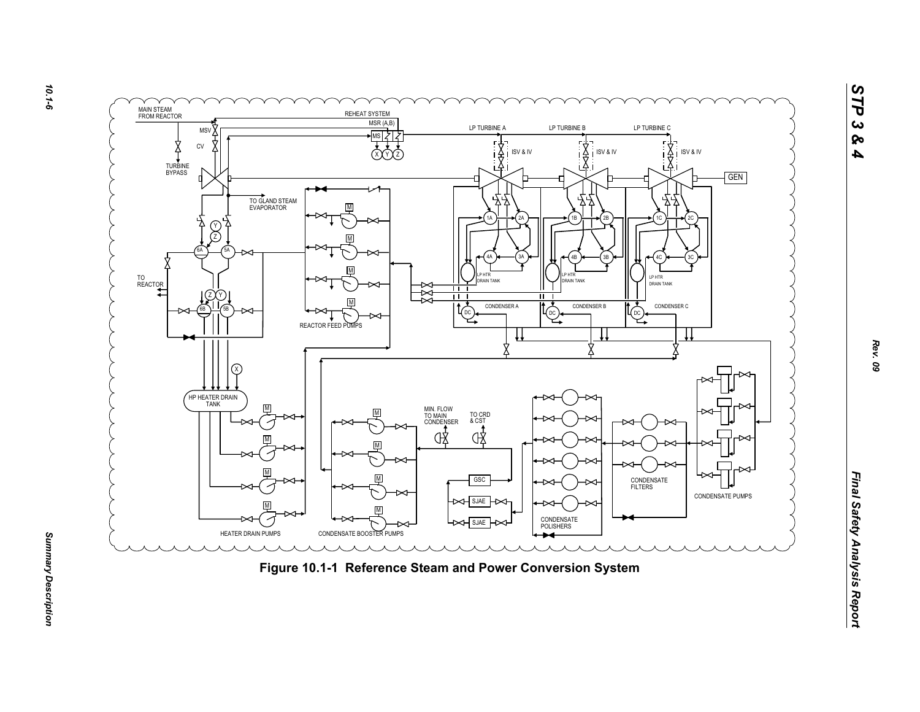